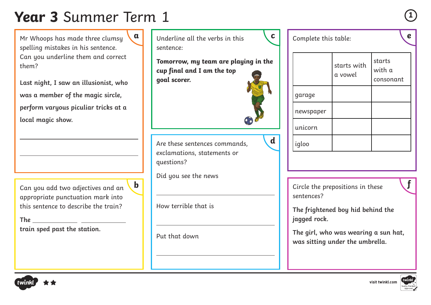## **Year 3** Summer Term 1 **<sup>1</sup>**

Mr Whoops has made three clumsy spelling mistakes in his sentence. Can you underline them and correct them?

**Last night, I saw an illusionist, who was a member of the magic sircle, perform varyous piculiar tricks at a local magic show.** 

Can you add two adjectives and an appropriate punctuation mark into this sentence to describe the train?

**The train sped past the station.**



**Tomorrow, my team are playing in the cup final and I am the top goal scorer.** 

Are these sentences commands, exclamations, statements or questions?

Did you see the news

How terrible that is

Put that down



igloo

|           | starts with<br>a vowel | starts<br>with a<br>consonant |
|-----------|------------------------|-------------------------------|
| garage    |                        |                               |
| newspaper |                        |                               |
| unicorn   |                        |                               |

Complete this table:

Circle the prepositions in these **b f** sentences?

> **The frightened boy hid behind the jagged rock.**

**The girl, who was wearing a sun hat, was sitting under the umbrella.**